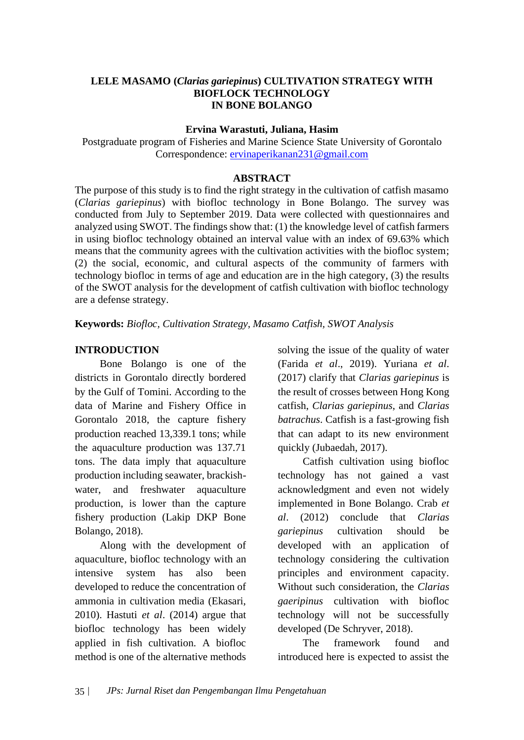## **LELE MASAMO (***Clarias gariepinus***) CULTIVATION STRATEGY WITH BIOFLOCK TECHNOLOGY IN BONE BOLANGO**

### **Ervina Warastuti, Juliana, Hasim**

Postgraduate program of Fisheries and Marine Science State University of Gorontalo Correspondence: [ervinaperikanan231@gmail.com](mailto:ervinaperikanan231@gmail.com)

### **ABSTRACT**

The purpose of this study is to find the right strategy in the cultivation of catfish masamo (*Clarias gariepinus*) with biofloc technology in Bone Bolango. The survey was conducted from July to September 2019. Data were collected with questionnaires and analyzed using SWOT. The findings show that: (1) the knowledge level of catfish farmers in using biofloc technology obtained an interval value with an index of 69.63% which means that the community agrees with the cultivation activities with the biofloc system; (2) the social, economic, and cultural aspects of the community of farmers with technology biofloc in terms of age and education are in the high category, (3) the results of the SWOT analysis for the development of catfish cultivation with biofloc technology are a defense strategy.

**Keywords:** *Biofloc, Cultivation Strategy, Masamo Catfish, SWOT Analysis*

## **INTRODUCTION**

Bone Bolango is one of the districts in Gorontalo directly bordered by the Gulf of Tomini. According to the data of Marine and Fishery Office in Gorontalo 2018, the capture fishery production reached 13,339.1 tons; while the aquaculture production was 137.71 tons. The data imply that aquaculture production including seawater, brackishwater, and freshwater aquaculture production, is lower than the capture fishery production (Lakip DKP Bone Bolango, 2018).

Along with the development of aquaculture, biofloc technology with an intensive system has also been developed to reduce the concentration of ammonia in cultivation media (Ekasari, 2010). Hastuti *et al*. (2014) argue that biofloc technology has been widely applied in fish cultivation. A biofloc method is one of the alternative methods

solving the issue of the quality of water (Farida *et al*., 2019). Yuriana *et al*. (2017) clarify that *Clarias gariepinus* is the result of crosses between Hong Kong catfish, *Clarias gariepinus*, and *Clarias batrachus*. Catfish is a fast-growing fish that can adapt to its new environment quickly (Jubaedah, 2017).

Catfish cultivation using biofloc technology has not gained a vast acknowledgment and even not widely implemented in Bone Bolango. Crab *et al*. (2012) conclude that *Clarias gariepinus* cultivation should be developed with an application of technology considering the cultivation principles and environment capacity. Without such consideration, the *Clarias gaeripinus* cultivation with biofloc technology will not be successfully developed (De Schryver, 2018).

The framework found and introduced here is expected to assist the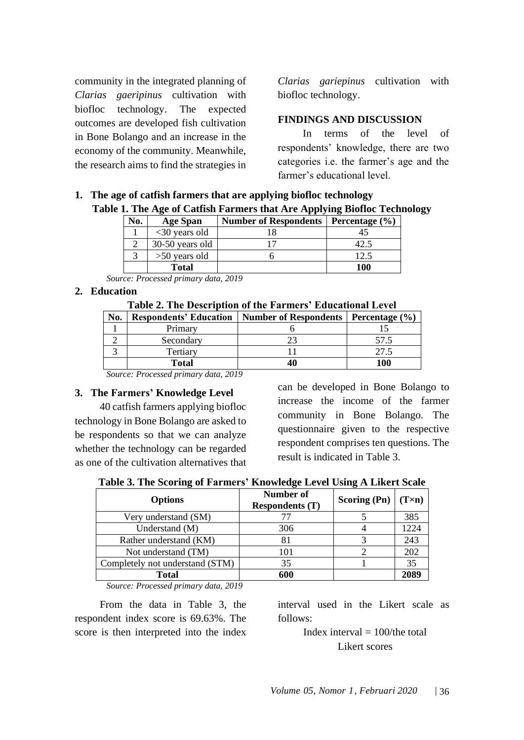community in the integrated planning of *Clarias gaeripinus* cultivation with biofloc technology. The expected outcomes are developed fish cultivation in Bone Bolango and an increase in the economy of the community. Meanwhile, the research aims to find the strategies in *Clarias gariepinus* cultivation with biofloc technology.

#### **FINDINGS AND DISCUSSION**

In terms of the level of respondents' knowledge, there are two categories i.e. the farmer's age and the farmer's educational level.

# **1. The age of catfish farmers that are applying biofloc technology Table 1. The Age of Catfish Farmers that Are Applying Biofloc Technology**

| No. | <b>Age Span</b>  | <b>Number of Respondents</b> | Percentage $(\% )$ |
|-----|------------------|------------------------------|--------------------|
|     | $<$ 30 years old |                              |                    |
|     | 30-50 years old  |                              |                    |
|     | $>50$ years old  |                              |                    |
|     | <b>Total</b>     |                              | 100                |

*Source: Processed primary data, 2019*

### **2. Education**

| Table 2. The Description of the Farmers' Educational Level |              |                                                                 |      |  |
|------------------------------------------------------------|--------------|-----------------------------------------------------------------|------|--|
| No.                                                        |              | Respondents' Education   Number of Respondents   Percentage (%) |      |  |
|                                                            | Primary      |                                                                 |      |  |
|                                                            | Secondary    | 23                                                              | 57.5 |  |
|                                                            | Tertiary     |                                                                 | 27.5 |  |
|                                                            | <b>Total</b> | 40                                                              | 100  |  |

*Source: Processed primary data, 2019*

#### **3. The Farmers' Knowledge Level**

40 catfish farmers applying biofloc technology in Bone Bolango are asked to be respondents so that we can analyze whether the technology can be regarded as one of the cultivation alternatives that can be developed in Bone Bolango to increase the income of the farmer community in Bone Bolango. The questionnaire given to the respective respondent comprises ten questions. The result is indicated in Table 3.

| <b>Options</b>                  | Number of<br><b>Respondents (T)</b> | <b>Scoring (Pn)</b> | $(T \times n)$ |
|---------------------------------|-------------------------------------|---------------------|----------------|
| Very understand (SM)            |                                     |                     | 385            |
| Understand (M)                  | 306                                 |                     | 1224           |
| Rather understand (KM)          | 81                                  |                     | 243            |
| Not understand (TM)             | 101                                 |                     | 202            |
| Completely not understand (STM) | 35                                  |                     | 35             |
| <b>Total</b>                    | 600                                 |                     | 2089           |

*Source: Processed primary data, 2019*

From the data in Table 3, the respondent index score is 69.63%. The score is then interpreted into the index

interval used in the Likert scale as follows:

> Index interval  $= 100$ /the total Likert scores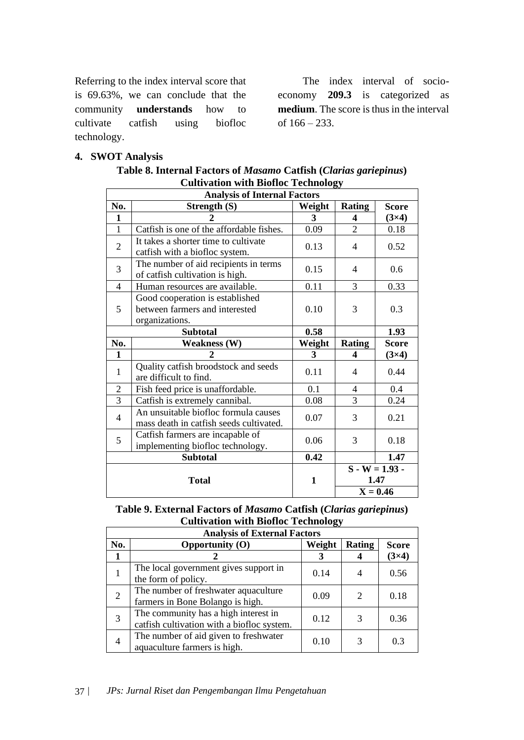Referring to the index interval score that is 69.63%, we can conclude that the community **understands** how to cultivate catfish using biofloc technology.

The index interval of socioeconomy **209.3** is categorized as **medium**. The score is thus in the interval of 166 – 233.

# **4. SWOT Analysis**

| Cultivation with Biolioc Technology |                                                                                                                   |              |                |                  |
|-------------------------------------|-------------------------------------------------------------------------------------------------------------------|--------------|----------------|------------------|
| <b>Analysis of Internal Factors</b> |                                                                                                                   |              |                |                  |
| No.                                 | <b>Strength (S)</b>                                                                                               | Weight       | <b>Rating</b>  | <b>Score</b>     |
| 1                                   | 2                                                                                                                 | 3            | 4              | $(3\times4)$     |
| $\mathbf{1}$                        | Catfish is one of the affordable fishes.                                                                          | 0.09         | $\overline{2}$ | 0.18             |
| $\overline{2}$                      | It takes a shorter time to cultivate<br>catfish with a biofloc system.                                            | 0.13         | $\overline{4}$ | 0.52             |
| 3                                   | The number of aid recipients in terms<br>of catfish cultivation is high.                                          | 0.15         | 4              | 0.6              |
| 4                                   | Human resources are available.                                                                                    | 0.11         | 3              | 0.33             |
| 5                                   | Good cooperation is established<br>between farmers and interested<br>organizations.                               | 0.10         | 3              | 0.3              |
|                                     | <b>Subtotal</b>                                                                                                   | 0.58         |                | 1.93             |
| No.                                 | <b>Weakness (W)</b>                                                                                               | Weight       | <b>Rating</b>  | <b>Score</b>     |
| $\mathbf{1}$                        | 2                                                                                                                 | 3            | 4              | $(3\times4)$     |
| $\mathbf{1}$                        | Quality catfish broodstock and seeds<br>are difficult to find.                                                    | 0.11         | 4              | 0.44             |
| $\overline{2}$                      | Fish feed price is unaffordable.                                                                                  | 0.1          | $\overline{4}$ | 0.4              |
| 3                                   |                                                                                                                   |              |                |                  |
|                                     |                                                                                                                   |              | 3              | 0.24             |
| 4                                   | Catfish is extremely cannibal.<br>An unsuitable biofloc formula causes<br>mass death in catfish seeds cultivated. | 0.08<br>0.07 | 3              | 0.21             |
| 5                                   | Catfish farmers are incapable of<br>implementing biofloc technology.                                              | 0.06         | 3              | 0.18             |
|                                     | <b>Subtotal</b>                                                                                                   | 0.42         |                | 1.47             |
|                                     |                                                                                                                   |              |                | $S - W = 1.93 -$ |
|                                     | <b>Total</b>                                                                                                      | $\mathbf{1}$ |                | 1.47             |

| Table 8. Internal Factors of Masamo Catfish (Clarias gariepinus) |  |
|------------------------------------------------------------------|--|
| <b>Cultivation with Biofloc Technology</b>                       |  |

| Table 9. External Factors of Masamo Catfish (Clarias gariepinus) |
|------------------------------------------------------------------|
| <b>Cultivation with Biofloc Technology</b>                       |
|                                                                  |

| <b>Analysis of External Factors</b> |                                                                                    |        |               |              |
|-------------------------------------|------------------------------------------------------------------------------------|--------|---------------|--------------|
| No.                                 | Opportunity $(O)$                                                                  | Weight | <b>Rating</b> | <b>Score</b> |
|                                     |                                                                                    |        |               | $(3\times4)$ |
|                                     | The local government gives support in<br>the form of policy.                       | 0.14   |               | 0.56         |
| $\overline{2}$                      | The number of freshwater aquaculture<br>farmers in Bone Bolango is high.           | 0.09   | $\mathcal{D}$ | 0.18         |
| 3                                   | The community has a high interest in<br>catfish cultivation with a biofloc system. | 0.12   | 3             | 0.36         |
|                                     | The number of aid given to freshwater<br>aquaculture farmers is high.              | 0.10   |               | 0.3          |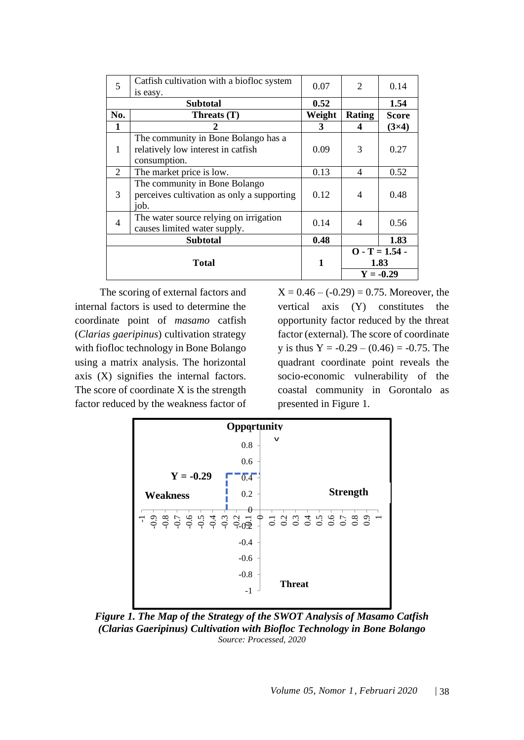| 5              | Catfish cultivation with a biofloc system<br>is easy. | 0.07   | 2                        | 0.14             |
|----------------|-------------------------------------------------------|--------|--------------------------|------------------|
|                | <b>Subtotal</b>                                       |        |                          | 1.54             |
| No.            | Threats (T)                                           | Weight | <b>Rating</b>            | Score            |
| 1              | 2                                                     | 3      | 4                        | $(3\times4)$     |
|                | The community in Bone Bolango has a                   |        |                          |                  |
| $\mathbf{1}$   | relatively low interest in catfish                    | 0.09   | 3                        | 0.27             |
|                | consumption.                                          |        |                          |                  |
| 2              | The market price is low.                              | 0.13   | $\overline{4}$           | 0.52             |
|                | The community in Bone Bolango                         |        |                          |                  |
| 3              | perceives cultivation as only a supporting            | 0.12   | $\overline{4}$           | 0.48             |
|                | job.                                                  |        |                          |                  |
| $\overline{4}$ | The water source relying on irrigation                | 0.14   | $\overline{\mathcal{A}}$ | 0.56             |
|                | causes limited water supply.                          |        |                          |                  |
|                | <b>Subtotal</b>                                       | 0.48   |                          | 1.83             |
|                |                                                       |        |                          | $O - T = 1.54 -$ |
| <b>Total</b>   |                                                       | 1      |                          | 1.83             |
|                |                                                       |        |                          | $Y = -0.29$      |

The scoring of external factors and internal factors is used to determine the coordinate point of *masamo* catfish (*Clarias gaeripinus*) cultivation strategy with fiofloc technology in Bone Bolango using a matrix analysis. The horizontal axis (X) signifies the internal factors. The score of coordinate X is the strength factor reduced by the weakness factor of  $X = 0.46 - (-0.29) = 0.75$ . Moreover, the vertical axis (Y) constitutes the opportunity factor reduced by the threat factor (external). The score of coordinate y is thus  $Y = -0.29 - (0.46) = -0.75$ . The quadrant coordinate point reveals the socio-economic vulnerability of the coastal community in Gorontalo as presented in Figure 1.



*Figure 1. The Map of the Strategy of the SWOT Analysis of Masamo Catfish (Clarias Gaeripinus) Cultivation with Biofloc Technology in Bone Bolango Source: Processed, 2020*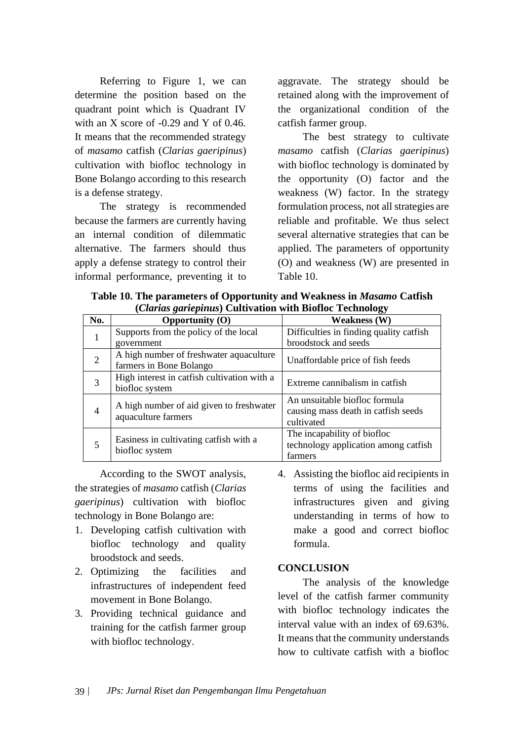Referring to Figure 1, we can determine the position based on the quadrant point which is Quadrant IV with an X score of  $-0.29$  and Y of 0.46. It means that the recommended strategy of *masamo* catfish (*Clarias gaeripinus*) cultivation with biofloc technology in Bone Bolango according to this research is a defense strategy.

The strategy is recommended because the farmers are currently having an internal condition of dilemmatic alternative. The farmers should thus apply a defense strategy to control their informal performance, preventing it to aggravate. The strategy should be retained along with the improvement of the organizational condition of the catfish farmer group.

The best strategy to cultivate *masamo* catfish (*Clarias gaeripinus*) with biofloc technology is dominated by the opportunity (O) factor and the weakness (W) factor. In the strategy formulation process, not all strategies are reliable and profitable. We thus select several alternative strategies that can be applied. The parameters of opportunity (O) and weakness (W) are presented in Table 10.

**Table 10. The parameters of Opportunity and Weakness in** *Masamo* **Catfish (***Clarias gariepinus***) Cultivation with Biofloc Technology**

|                | $(\mathcal{C}^{\mathcal{U}})$ and $(\mathcal{C}^{\mathcal{U}})$ and $(\mathcal{C}^{\mathcal{U}})$ and $(\mathcal{C}^{\mathcal{U}})$ and $(\mathcal{C}^{\mathcal{U}})$ |                                                                                    |  |  |  |
|----------------|-----------------------------------------------------------------------------------------------------------------------------------------------------------------------|------------------------------------------------------------------------------------|--|--|--|
| No.            | Opportunity $(0)$                                                                                                                                                     | Weakness (W)                                                                       |  |  |  |
|                | Supports from the policy of the local<br>government                                                                                                                   | Difficulties in finding quality catfish<br>broodstock and seeds                    |  |  |  |
| 2              | A high number of freshwater aquaculture<br>farmers in Bone Bolango                                                                                                    | Unaffordable price of fish feeds                                                   |  |  |  |
| 3              | High interest in catfish cultivation with a<br>biofloc system                                                                                                         | Extreme cannibalism in catfish                                                     |  |  |  |
| $\overline{4}$ | A high number of aid given to freshwater<br>aquaculture farmers                                                                                                       | An unsuitable biofloc formula<br>causing mass death in catfish seeds<br>cultivated |  |  |  |
| 5              | Easiness in cultivating catfish with a<br>biofloc system                                                                                                              | The incapability of biofloc<br>technology application among catfish<br>farmers     |  |  |  |

According to the SWOT analysis, the strategies of *masamo* catfish (*Clarias gaeripinus*) cultivation with biofloc technology in Bone Bolango are:

- 1. Developing catfish cultivation with biofloc technology and quality broodstock and seeds.
- 2. Optimizing the facilities and infrastructures of independent feed movement in Bone Bolango.
- 3. Providing technical guidance and training for the catfish farmer group with biofloc technology.
- 4. Assisting the biofloc aid recipients in terms of using the facilities and infrastructures given and giving understanding in terms of how to make a good and correct biofloc formula.

## **CONCLUSION**

The analysis of the knowledge level of the catfish farmer community with biofloc technology indicates the interval value with an index of 69.63%. It means that the community understands how to cultivate catfish with a biofloc